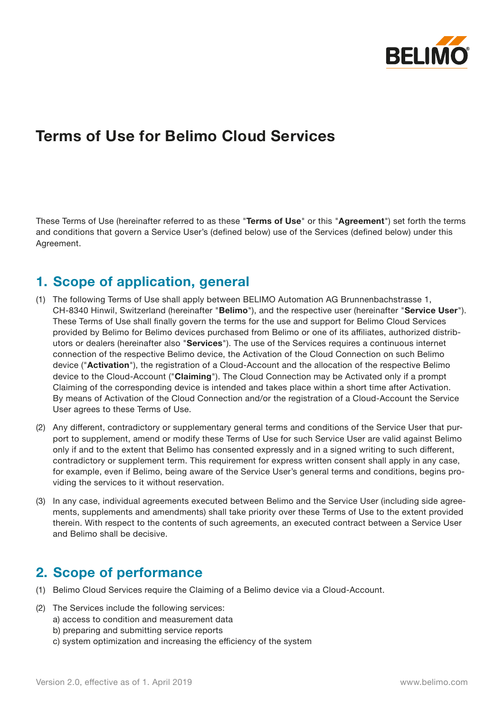

# **Terms of Use for Belimo Cloud Services**

These Terms of Use (hereinafter referred to as these "**Terms of Use**" or this "**Agreement**") set forth the terms and conditions that govern a Service User's (defined below) use of the Services (defined below) under this Agreement.

# **1. Scope of application, general**

- (1) The following Terms of Use shall apply between BELIMO Automation AG Brunnenbachstrasse 1, CH-8340 Hinwil, Switzerland (hereinafter "**Belimo**"), and the respective user (hereinafter "**Service User**"). These Terms of Use shall finally govern the terms for the use and support for Belimo Cloud Services provided by Belimo for Belimo devices purchased from Belimo or one of its affiliates, authorized distributors or dealers (hereinafter also "**Services**"). The use of the Services requires a continuous internet connection of the respective Belimo device, the Activation of the Cloud Connection on such Belimo device ("**Activation**"), the registration of a Cloud-Account and the allocation of the respective Belimo device to the Cloud-Account ("**Claiming**"). The Cloud Connection may be Activated only if a prompt Claiming of the corresponding device is intended and takes place within a short time after Activation. By means of Activation of the Cloud Connection and/or the registration of a Cloud-Account the Service User agrees to these Terms of Use.
- (2) Any different, contradictory or supplementary general terms and conditions of the Service User that purport to supplement, amend or modify these Terms of Use for such Service User are valid against Belimo only if and to the extent that Belimo has consented expressly and in a signed writing to such different, contradictory or supplement term. This requirement for express written consent shall apply in any case, for example, even if Belimo, being aware of the Service User's general terms and conditions, begins providing the services to it without reservation.
- (3) In any case, individual agreements executed between Belimo and the Service User (including side agreements, supplements and amendments) shall take priority over these Terms of Use to the extent provided therein. With respect to the contents of such agreements, an executed contract between a Service User and Belimo shall be decisive.

#### **2. Scope of performance**

- (1) Belimo Cloud Services require the Claiming of a Belimo device via a Cloud-Account.
- (2) The Services include the following services:
	- a) access to condition and measurement data
		- b) preparing and submitting service reports
		- c) system optimization and increasing the efficiency of the system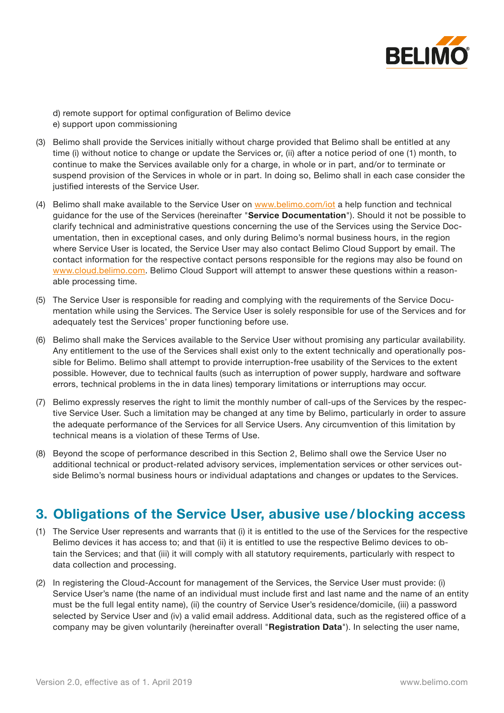

d) remote support for optimal configuration of Belimo device e) support upon commissioning

- (3) Belimo shall provide the Services initially without charge provided that Belimo shall be entitled at any time (i) without notice to change or update the Services or, (ii) after a notice period of one (1) month, to continue to make the Services available only for a charge, in whole or in part, and/or to terminate or suspend provision of the Services in whole or in part. In doing so, Belimo shall in each case consider the justified interests of the Service User.
- (4) Belimo shall make available to the Service User on [www.belimo.com/iot](http://www.belimo.com/iot) a help function and technical guidance for the use of the Services (hereinafter "**Service Documentation**"). Should it not be possible to clarify technical and administrative questions concerning the use of the Services using the Service Documentation, then in exceptional cases, and only during Belimo's normal business hours, in the region where Service User is located, the Service User may also contact Belimo Cloud Support by email. The contact information for the respective contact persons responsible for the regions may also be found on [www.cloud.belimo.com.](http://www.cloud.belimo.com) Belimo Cloud Support will attempt to answer these questions within a reasonable processing time.
- (5) The Service User is responsible for reading and complying with the requirements of the Service Documentation while using the Services. The Service User is solely responsible for use of the Services and for adequately test the Services' proper functioning before use.
- (6) Belimo shall make the Services available to the Service User without promising any particular availability. Any entitlement to the use of the Services shall exist only to the extent technically and operationally possible for Belimo. Belimo shall attempt to provide interruption-free usability of the Services to the extent possible. However, due to technical faults (such as interruption of power supply, hardware and software errors, technical problems in the in data lines) temporary limitations or interruptions may occur.
- (7) Belimo expressly reserves the right to limit the monthly number of call-ups of the Services by the respective Service User. Such a limitation may be changed at any time by Belimo, particularly in order to assure the adequate performance of the Services for all Service Users. Any circumvention of this limitation by technical means is a violation of these Terms of Use.
- (8) Beyond the scope of performance described in this Section 2, Belimo shall owe the Service User no additional technical or product-related advisory services, implementation services or other services outside Belimo's normal business hours or individual adaptations and changes or updates to the Services.

#### **3. Obligations of the Service User, abusive use / blocking access**

- (1) The Service User represents and warrants that (i) it is entitled to the use of the Services for the respective Belimo devices it has access to; and that (ii) it is entitled to use the respective Belimo devices to obtain the Services; and that (iii) it will comply with all statutory requirements, particularly with respect to data collection and processing.
- (2) In registering the Cloud-Account for management of the Services, the Service User must provide: (i) Service User's name (the name of an individual must include first and last name and the name of an entity must be the full legal entity name), (ii) the country of Service User's residence/domicile, (iii) a password selected by Service User and (iv) a valid email address. Additional data, such as the registered office of a company may be given voluntarily (hereinafter overall "**Registration Data**"). In selecting the user name,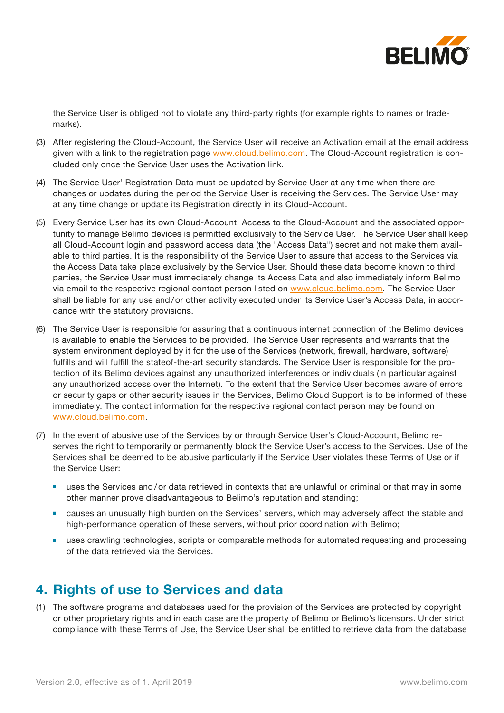

the Service User is obliged not to violate any third-party rights (for example rights to names or trademarks).

- (3) After registering the Cloud-Account, the Service User will receive an Activation email at the email address given with a link to the registration page [www.cloud.belimo.com.](http://www.cloud.belimo.com) The Cloud-Account registration is concluded only once the Service User uses the Activation link.
- (4) The Service User' Registration Data must be updated by Service User at any time when there are changes or updates during the period the Service User is receiving the Services. The Service User may at any time change or update its Registration directly in its Cloud-Account.
- (5) Every Service User has its own Cloud-Account. Access to the Cloud-Account and the associated opportunity to manage Belimo devices is permitted exclusively to the Service User. The Service User shall keep all Cloud-Account login and password access data (the "Access Data") secret and not make them available to third parties. It is the responsibility of the Service User to assure that access to the Services via the Access Data take place exclusively by the Service User. Should these data become known to third parties, the Service User must immediately change its Access Data and also immediately inform Belimo via email to the respective regional contact person listed on [www.cloud.belimo.com](http://www.cloud.belimo.com). The Service User shall be liable for any use and/or other activity executed under its Service User's Access Data, in accordance with the statutory provisions.
- (6) The Service User is responsible for assuring that a continuous internet connection of the Belimo devices is available to enable the Services to be provided. The Service User represents and warrants that the system environment deployed by it for the use of the Services (network, firewall, hardware, software) fulfills and will fulfill the stateof-the-art security standards. The Service User is responsible for the protection of its Belimo devices against any unauthorized interferences or individuals (in particular against any unauthorized access over the Internet). To the extent that the Service User becomes aware of errors or security gaps or other security issues in the Services, Belimo Cloud Support is to be informed of these immediately. The contact information for the respective regional contact person may be found on [www.cloud.belimo.com](http://www.cloud.belimo.com).
- (7) In the event of abusive use of the Services by or through Service User's Cloud-Account, Belimo reserves the right to temporarily or permanently block the Service User's access to the Services. Use of the Services shall be deemed to be abusive particularly if the Service User violates these Terms of Use or if the Service User:
	- uses the Services and/or data retrieved in contexts that are unlawful or criminal or that may in some other manner prove disadvantageous to Belimo's reputation and standing;
	- causes an unusually high burden on the Services' servers, which may adversely affect the stable and high-performance operation of these servers, without prior coordination with Belimo;
	- uses crawling technologies, scripts or comparable methods for automated requesting and processing of the data retrieved via the Services.

# **4. Rights of use to Services and data**

(1) The software programs and databases used for the provision of the Services are protected by copyright or other proprietary rights and in each case are the property of Belimo or Belimo's licensors. Under strict compliance with these Terms of Use, the Service User shall be entitled to retrieve data from the database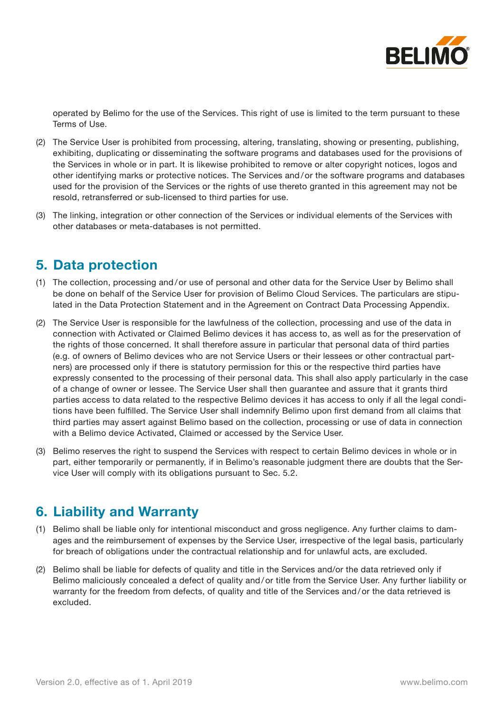

operated by Belimo for the use of the Services. This right of use is limited to the term pursuant to these Terms of Use.

- (2) The Service User is prohibited from processing, altering, translating, showing or presenting, publishing, exhibiting, duplicating or disseminating the software programs and databases used for the provisions of the Services in whole or in part. It is likewise prohibited to remove or alter copyright notices, logos and other identifying marks or protective notices. The Services and / or the software programs and databases used for the provision of the Services or the rights of use thereto granted in this agreement may not be resold, retransferred or sub-licensed to third parties for use.
- (3) The linking, integration or other connection of the Services or individual elements of the Services with other databases or meta-databases is not permitted.

#### **5. Data protection**

- (1) The collection, processing and / or use of personal and other data for the Service User by Belimo shall be done on behalf of the Service User for provision of Belimo Cloud Services. The particulars are stipulated in the Data Protection Statement and in the Agreement on Contract Data Processing Appendix.
- (2) The Service User is responsible for the lawfulness of the collection, processing and use of the data in connection with Activated or Claimed Belimo devices it has access to, as well as for the preservation of the rights of those concerned. It shall therefore assure in particular that personal data of third parties (e.g. of owners of Belimo devices who are not Service Users or their lessees or other contractual partners) are processed only if there is statutory permission for this or the respective third parties have expressly consented to the processing of their personal data. This shall also apply particularly in the case of a change of owner or lessee. The Service User shall then guarantee and assure that it grants third parties access to data related to the respective Belimo devices it has access to only if all the legal conditions have been fulfilled. The Service User shall indemnify Belimo upon first demand from all claims that third parties may assert against Belimo based on the collection, processing or use of data in connection with a Belimo device Activated, Claimed or accessed by the Service User.
- (3) Belimo reserves the right to suspend the Services with respect to certain Belimo devices in whole or in part, either temporarily or permanently, if in Belimo's reasonable judgment there are doubts that the Service User will comply with its obligations pursuant to Sec. 5.2.

#### **6. Liability and Warranty**

- (1) Belimo shall be liable only for intentional misconduct and gross negligence. Any further claims to damages and the reimbursement of expenses by the Service User, irrespective of the legal basis, particularly for breach of obligations under the contractual relationship and for unlawful acts, are excluded.
- (2) Belimo shall be liable for defects of quality and title in the Services and/or the data retrieved only if Belimo maliciously concealed a defect of quality and / or title from the Service User. Any further liability or warranty for the freedom from defects, of quality and title of the Services and/or the data retrieved is excluded.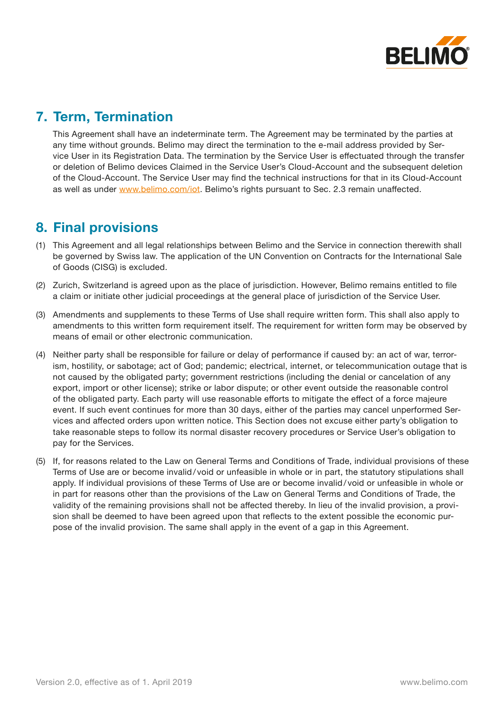

# **7. Term, Termination**

This Agreement shall have an indeterminate term. The Agreement may be terminated by the parties at any time without grounds. Belimo may direct the termination to the e-mail address provided by Service User in its Registration Data. The termination by the Service User is effectuated through the transfer or deletion of Belimo devices Claimed in the Service User's Cloud-Account and the subsequent deletion of the Cloud-Account. The Service User may find the technical instructions for that in its Cloud-Account as well as under [www.belimo.com/iot](http://www.belimo.com/iot). Belimo's rights pursuant to Sec. 2.3 remain unaffected.

# **8. Final provisions**

- (1) This Agreement and all legal relationships between Belimo and the Service in connection therewith shall be governed by Swiss law. The application of the UN Convention on Contracts for the International Sale of Goods (CISG) is excluded.
- (2) Zurich, Switzerland is agreed upon as the place of jurisdiction. However, Belimo remains entitled to file a claim or initiate other judicial proceedings at the general place of jurisdiction of the Service User.
- (3) Amendments and supplements to these Terms of Use shall require written form. This shall also apply to amendments to this written form requirement itself. The requirement for written form may be observed by means of email or other electronic communication.
- (4) Neither party shall be responsible for failure or delay of performance if caused by: an act of war, terrorism, hostility, or sabotage; act of God; pandemic; electrical, internet, or telecommunication outage that is not caused by the obligated party; government restrictions (including the denial or cancelation of any export, import or other license); strike or labor dispute; or other event outside the reasonable control of the obligated party. Each party will use reasonable efforts to mitigate the effect of a force majeure event. If such event continues for more than 30 days, either of the parties may cancel unperformed Services and affected orders upon written notice. This Section does not excuse either party's obligation to take reasonable steps to follow its normal disaster recovery procedures or Service User's obligation to pay for the Services.
- (5) If, for reasons related to the Law on General Terms and Conditions of Trade, individual provisions of these Terms of Use are or become invalid / void or unfeasible in whole or in part, the statutory stipulations shall apply. If individual provisions of these Terms of Use are or become invalid / void or unfeasible in whole or in part for reasons other than the provisions of the Law on General Terms and Conditions of Trade, the validity of the remaining provisions shall not be affected thereby. In lieu of the invalid provision, a provision shall be deemed to have been agreed upon that reflects to the extent possible the economic purpose of the invalid provision. The same shall apply in the event of a gap in this Agreement.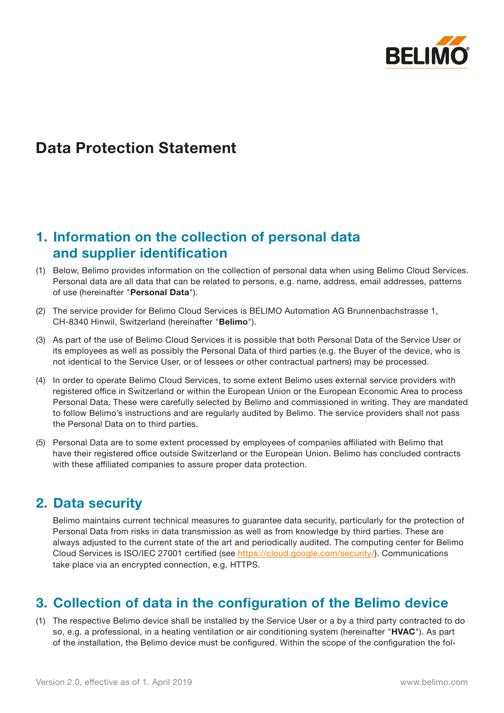

# **Data Protection Statement**

# **1. Information on the collection of personal data and supplier identification**

- (1) Below, Belimo provides information on the collection of personal data when using Belimo Cloud Services. Personal data are all data that can be related to persons, e.g. name, address, email addresses, patterns of use (hereinafter "**Personal Data**").
- (2) The service provider for Belimo Cloud Services is BELIMO Automation AG Brunnenbachstrasse 1, CH-8340 Hinwil, Switzerland (hereinafter "**Belimo**").
- (3) As part of the use of Belimo Cloud Services it is possible that both Personal Data of the Service User or its employees as well as possibly the Personal Data of third parties (e.g. the Buyer of the device, who is not identical to the Service User, or of lessees or other contractual partners) may be processed.
- (4) In order to operate Belimo Cloud Services, to some extent Belimo uses external service providers with registered office in Switzerland or within the European Union or the European Economic Area to process Personal Data. These were carefully selected by Belimo and commissioned in writing. They are mandated to follow Belimo's instructions and are regularly audited by Belimo. The service providers shall not pass the Personal Data on to third parties.
- (5) Personal Data are to some extent processed by employees of companies affiliated with Belimo that have their registered office outside Switzerland or the European Union. Belimo has concluded contracts with these affiliated companies to assure proper data protection.

#### **2. Data security**

Belimo maintains current technical measures to guarantee data security, particularly for the protection of Personal Data from risks in data transmission as well as from knowledge by third parties. These are always adjusted to the current state of the art and periodically audited. The computing center for Belimo Cloud Services is ISO/IEC 27001 certified (see <https://cloud.google.com/security/>). Communications take place via an encrypted connection, e.g. HTTPS.

# **3. Collection of data in the configuration of the Belimo device**

(1) The respective Belimo device shall be installed by the Service User or a by a third party contracted to do so, e.g. a professional, in a heating ventilation or air conditioning system (hereinafter "**HVAC**"). As part of the installation, the Belimo device must be configured. Within the scope of the configuration the fol-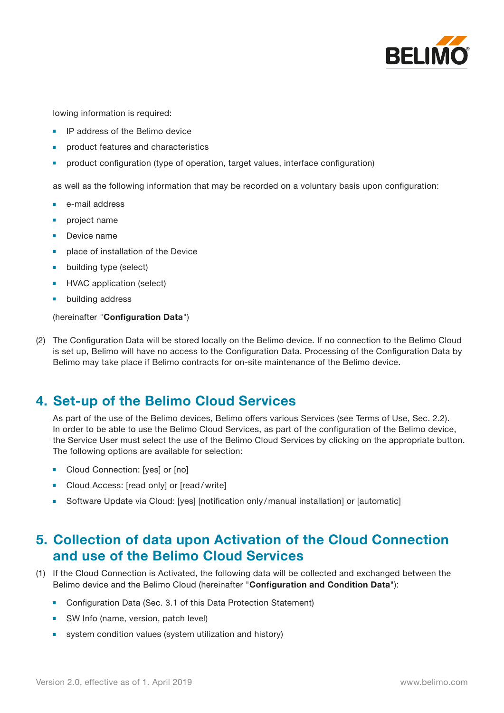

lowing information is required:

- **IP address of the Belimo device**
- **product features and characteristics**
- product configuration (type of operation, target values, interface configuration)

as well as the following information that may be recorded on a voluntary basis upon configuration:

- **■** e-mail address
- *project* name
- Device name
- place of installation of the Device
- **■** building type (select)
- **■** HVAC application (select)
- **■** building address

#### (hereinafter "**Configuration Data**")

(2) The Configuration Data will be stored locally on the Belimo device. If no connection to the Belimo Cloud is set up, Belimo will have no access to the Configuration Data. Processing of the Configuration Data by Belimo may take place if Belimo contracts for on-site maintenance of the Belimo device.

#### **4. Set-up of the Belimo Cloud Services**

As part of the use of the Belimo devices, Belimo offers various Services (see Terms of Use, Sec. 2.2). In order to be able to use the Belimo Cloud Services, as part of the configuration of the Belimo device, the Service User must select the use of the Belimo Cloud Services by clicking on the appropriate button. The following options are available for selection:

- Cloud Connection: [yes] or [no]
- Cloud Access: [read only] or [read/write]
- **■** Software Update via Cloud: [yes] [notification only/manual installation] or [automatic]

# **5. Collection of data upon Activation of the Cloud Connection and use of the Belimo Cloud Services**

- (1) If the Cloud Connection is Activated, the following data will be collected and exchanged between the Belimo device and the Belimo Cloud (hereinafter "**Configuration and Condition Data**"):
	- **■** Configuration Data (Sec. 3.1 of this Data Protection Statement)
	- SW Info (name, version, patch level)
	- system condition values (system utilization and history)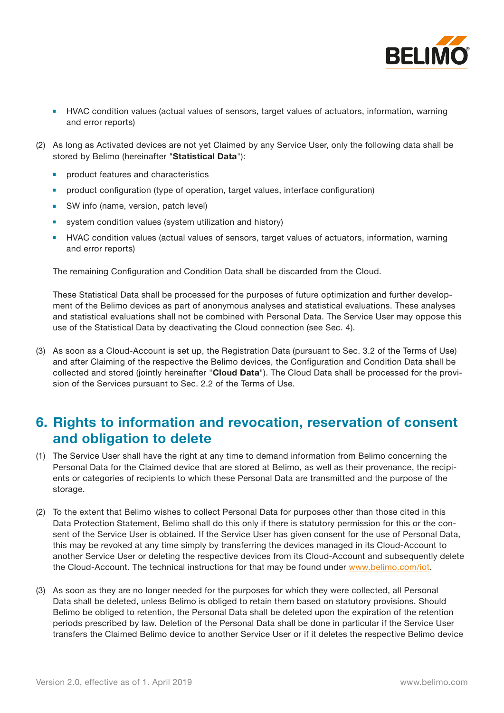

- HVAC condition values (actual values of sensors, target values of actuators, information, warning and error reports)
- (2) As long as Activated devices are not yet Claimed by any Service User, only the following data shall be stored by Belimo (hereinafter "**Statistical Data**"):
	- **■** product features and characteristics
	- product configuration (type of operation, target values, interface configuration)
	- SW info (name, version, patch level)
	- **■** system condition values (system utilization and history)
	- **HVAC condition values (actual values of sensors, target values of actuators, information, warning** and error reports)

The remaining Configuration and Condition Data shall be discarded from the Cloud.

These Statistical Data shall be processed for the purposes of future optimization and further development of the Belimo devices as part of anonymous analyses and statistical evaluations. These analyses and statistical evaluations shall not be combined with Personal Data. The Service User may oppose this use of the Statistical Data by deactivating the Cloud connection (see Sec. 4).

(3) As soon as a Cloud-Account is set up, the Registration Data (pursuant to Sec. 3.2 of the Terms of Use) and after Claiming of the respective the Belimo devices, the Configuration and Condition Data shall be collected and stored (jointly hereinafter "**Cloud Data**"). The Cloud Data shall be processed for the provision of the Services pursuant to Sec. 2.2 of the Terms of Use.

### **6. Rights to information and revocation, reservation of consent and obligation to delete**

- (1) The Service User shall have the right at any time to demand information from Belimo concerning the Personal Data for the Claimed device that are stored at Belimo, as well as their provenance, the recipients or categories of recipients to which these Personal Data are transmitted and the purpose of the storage.
- (2) To the extent that Belimo wishes to collect Personal Data for purposes other than those cited in this Data Protection Statement, Belimo shall do this only if there is statutory permission for this or the consent of the Service User is obtained. If the Service User has given consent for the use of Personal Data, this may be revoked at any time simply by transferring the devices managed in its Cloud-Account to another Service User or deleting the respective devices from its Cloud-Account and subsequently delete the Cloud-Account. The technical instructions for that may be found under [www.belimo.com/iot](http://www.belimo.com/iot).
- (3) As soon as they are no longer needed for the purposes for which they were collected, all Personal Data shall be deleted, unless Belimo is obliged to retain them based on statutory provisions. Should Belimo be obliged to retention, the Personal Data shall be deleted upon the expiration of the retention periods prescribed by law. Deletion of the Personal Data shall be done in particular if the Service User transfers the Claimed Belimo device to another Service User or if it deletes the respective Belimo device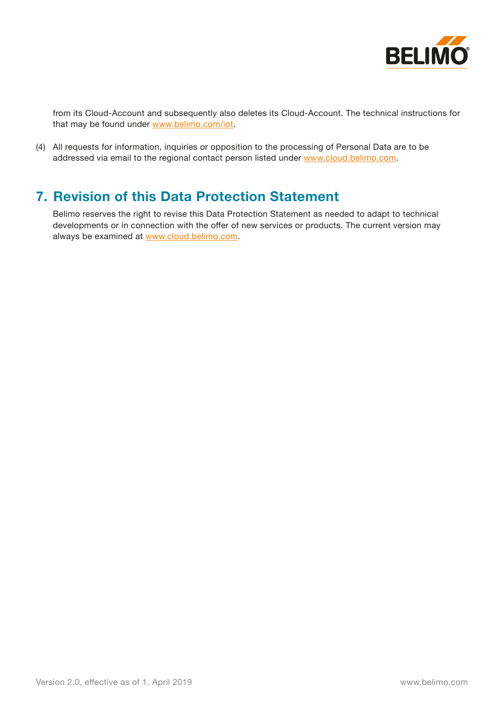

from its Cloud-Account and subsequently also deletes its Cloud-Account. The technical instructions for that may be found under [www.belimo.com/iot](http://www.belimo.com/iot).

(4) All requests for information, inquiries or opposition to the processing of Personal Data are to be addressed via email to the regional contact person listed under [www.cloud.belimo.com](http://www.cloud.belimo.com).

### **7. Revision of this Data Protection Statement**

Belimo reserves the right to revise this Data Protection Statement as needed to adapt to technical developments or in connection with the offer of new services or products. The current version may always be examined at [www.cloud.belimo.com](http://www.cloud.belimo.com).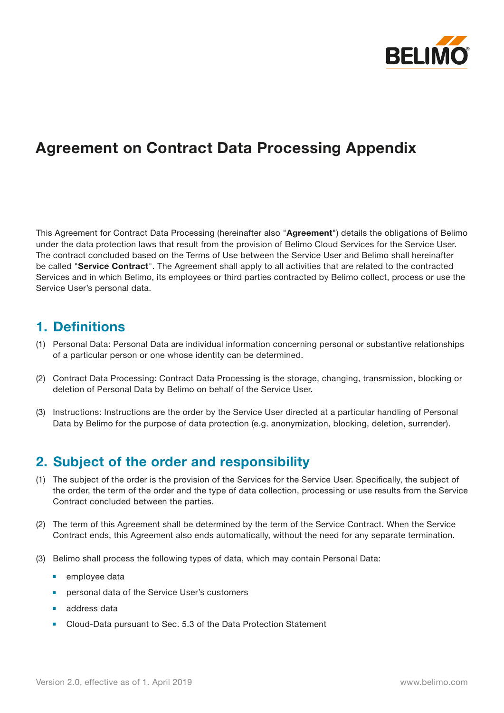

# **Agreement on Contract Data Processing Appendix**

This Agreement for Contract Data Processing (hereinafter also "**Agreement**") details the obligations of Belimo under the data protection laws that result from the provision of Belimo Cloud Services for the Service User. The contract concluded based on the Terms of Use between the Service User and Belimo shall hereinafter be called "**Service Contract**". The Agreement shall apply to all activities that are related to the contracted Services and in which Belimo, its employees or third parties contracted by Belimo collect, process or use the Service User's personal data.

#### **1. Definitions**

- (1) Personal Data: Personal Data are individual information concerning personal or substantive relationships of a particular person or one whose identity can be determined.
- (2) Contract Data Processing: Contract Data Processing is the storage, changing, transmission, blocking or deletion of Personal Data by Belimo on behalf of the Service User.
- (3) Instructions: Instructions are the order by the Service User directed at a particular handling of Personal Data by Belimo for the purpose of data protection (e.g. anonymization, blocking, deletion, surrender).

# **2. Subject of the order and responsibility**

- (1) The subject of the order is the provision of the Services for the Service User. Specifically, the subject of the order, the term of the order and the type of data collection, processing or use results from the Service Contract concluded between the parties.
- (2) The term of this Agreement shall be determined by the term of the Service Contract. When the Service Contract ends, this Agreement also ends automatically, without the need for any separate termination.
- (3) Belimo shall process the following types of data, which may contain Personal Data:
	- employee data
	- personal data of the Service User's customers
	- **■** address data
	- Cloud-Data pursuant to Sec. 5.3 of the Data Protection Statement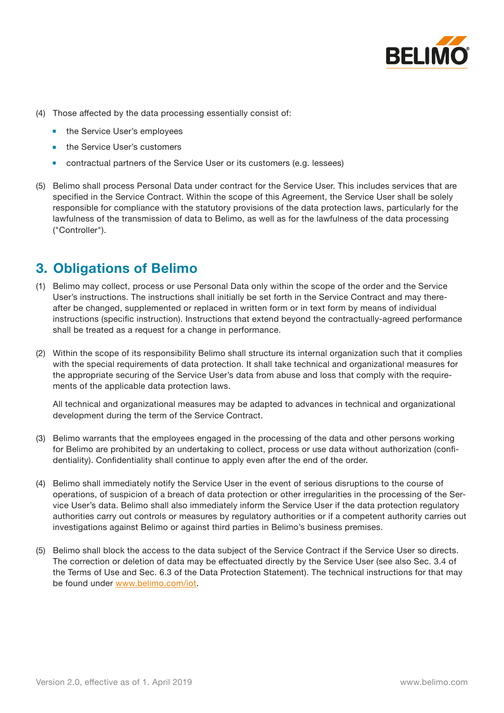

- (4) Those affected by the data processing essentially consist of:
	- the Service User's employees
	- **the Service User's customers**
	- contractual partners of the Service User or its customers (e.g. lessees)
- (5) Belimo shall process Personal Data under contract for the Service User. This includes services that are specified in the Service Contract. Within the scope of this Agreement, the Service User shall be solely responsible for compliance with the statutory provisions of the data protection laws, particularly for the lawfulness of the transmission of data to Belimo, as well as for the lawfulness of the data processing ("Controller").

### **3. Obligations of Belimo**

- (1) Belimo may collect, process or use Personal Data only within the scope of the order and the Service User's instructions. The instructions shall initially be set forth in the Service Contract and may thereafter be changed, supplemented or replaced in written form or in text form by means of individual instructions (specific instruction). Instructions that extend beyond the contractually-agreed performance shall be treated as a request for a change in performance.
- (2) Within the scope of its responsibility Belimo shall structure its internal organization such that it complies with the special requirements of data protection. It shall take technical and organizational measures for the appropriate securing of the Service User's data from abuse and loss that comply with the requirements of the applicable data protection laws.

All technical and organizational measures may be adapted to advances in technical and organizational development during the term of the Service Contract.

- (3) Belimo warrants that the employees engaged in the processing of the data and other persons working for Belimo are prohibited by an undertaking to collect, process or use data without authorization (confidentiality). Confidentiality shall continue to apply even after the end of the order.
- (4) Belimo shall immediately notify the Service User in the event of serious disruptions to the course of operations, of suspicion of a breach of data protection or other irregularities in the processing of the Service User's data. Belimo shall also immediately inform the Service User if the data protection regulatory authorities carry out controls or measures by regulatory authorities or if a competent authority carries out investigations against Belimo or against third parties in Belimo's business premises.
- (5) Belimo shall block the access to the data subject of the Service Contract if the Service User so directs. The correction or deletion of data may be effectuated directly by the Service User (see also Sec. 3.4 of the Terms of Use and Sec. 6.3 of the Data Protection Statement). The technical instructions for that may be found under [www.belimo.com/iot](http://www.belimo.com/iot).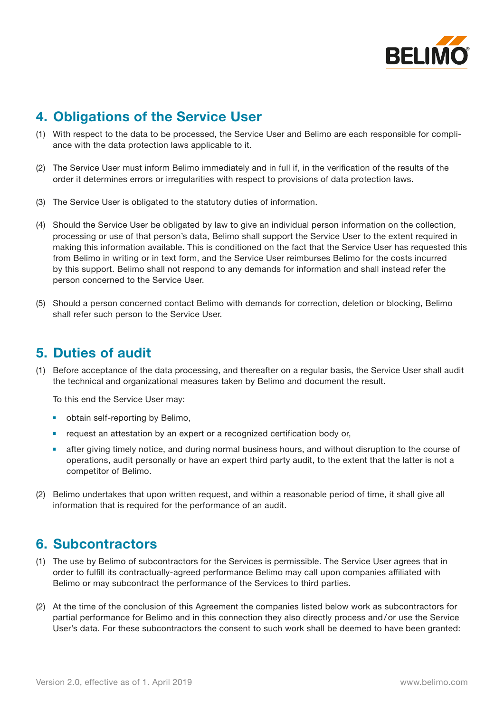

# **4. Obligations of the Service User**

- (1) With respect to the data to be processed, the Service User and Belimo are each responsible for compliance with the data protection laws applicable to it.
- (2) The Service User must inform Belimo immediately and in full if, in the verification of the results of the order it determines errors or irregularities with respect to provisions of data protection laws.
- (3) The Service User is obligated to the statutory duties of information.
- (4) Should the Service User be obligated by law to give an individual person information on the collection, processing or use of that person's data, Belimo shall support the Service User to the extent required in making this information available. This is conditioned on the fact that the Service User has requested this from Belimo in writing or in text form, and the Service User reimburses Belimo for the costs incurred by this support. Belimo shall not respond to any demands for information and shall instead refer the person concerned to the Service User.
- (5) Should a person concerned contact Belimo with demands for correction, deletion or blocking, Belimo shall refer such person to the Service User.

## **5. Duties of audit**

(1) Before acceptance of the data processing, and thereafter on a regular basis, the Service User shall audit the technical and organizational measures taken by Belimo and document the result.

To this end the Service User may:

- obtain self-reporting by Belimo,
- request an attestation by an expert or a recognized certification body or,
- after giving timely notice, and during normal business hours, and without disruption to the course of operations, audit personally or have an expert third party audit, to the extent that the latter is not a competitor of Belimo.
- (2) Belimo undertakes that upon written request, and within a reasonable period of time, it shall give all information that is required for the performance of an audit.

#### **6. Subcontractors**

- (1) The use by Belimo of subcontractors for the Services is permissible. The Service User agrees that in order to fulfill its contractually-agreed performance Belimo may call upon companies affiliated with Belimo or may subcontract the performance of the Services to third parties.
- (2) At the time of the conclusion of this Agreement the companies listed below work as subcontractors for partial performance for Belimo and in this connection they also directly process and / or use the Service User's data. For these subcontractors the consent to such work shall be deemed to have been granted: